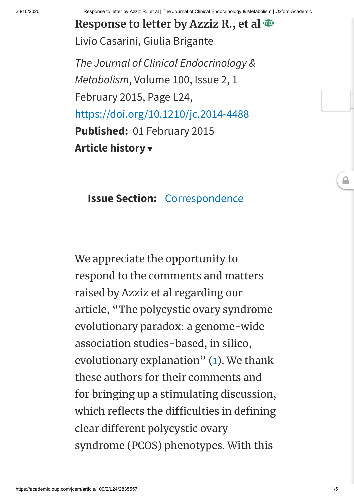23/10/2020 Response to letter by Azziz R., et al | The Journal of Clinical Endocrinology & Metabolism | Oxford Academic

**Response to letter by Azziz R., et al** Livio [Casarini,](javascript:;) Giulia [Brigante](javascript:;)

*The Journal of Clinical Endocrinology & Metabolism*, Volume 100, Issue 2, 1 February 2015, Page L24, <https://doi.org/10.1210/jc.2014-4488> **Published:** 01 February 2015 **[Article history](javascript:;)**

## **Issue Section:** [Correspondence](https://academic.oup.com/jcem/search-results?f_TocHeadingTitle=Correspondence)

We appreciate the opportunity to respond to the comments and matters raised by Azziz et al regarding our article, "The polycystic ovary syndrome evolutionary paradox: a genome-wide association studies-based, in silico, evolutionary explanation" ([1](javascript:;)). We thank these authors for their comments and for bringing up a stimulating discussion, which reflects the difficulties in defining clear different polycystic ovary syndrome (PCOS) phenotypes. With this

 $\triangle$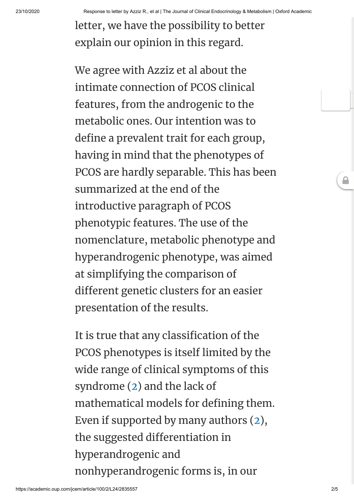23/10/2020 Response to letter by Azziz R., et al | The Journal of Clinical Endocrinology & Metabolism | Oxford Academic

letter, we have the possibility to better explain our opinion in this regard.

We agree with Azziz et al about the intimate connection of PCOS clinical features, from the androgenic to the metabolic ones. Our intention was to define a prevalent trait for each group, having in mind that the phenotypes of PCOS are hardly separable. This has been summarized at the end of the introductive paragraph of PCOS phenotypic features. The use of the nomenclature, metabolic phenotype and hyperandrogenic phenotype, was aimed at simplifying the comparison of different genetic clusters for an easier presentation of the results.

It is true that any classification of the PCOS phenotypes is itself limited by the wide range of clinical symptoms of this syndrome [\(2](javascript:;)) and the lack of mathematical models for defining them. Even if supported by many authors [\(2](javascript:;)), the suggested differentiation in hyperandrogenic and nonhyperandrogenic forms is, in our

≙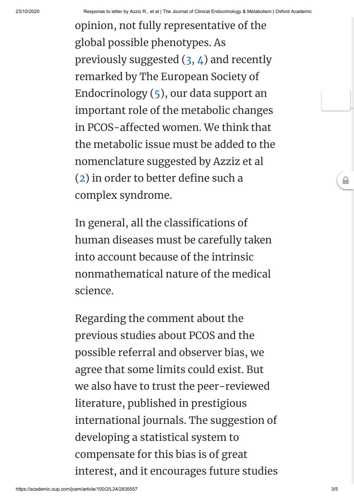opinion, not fully representative of the global possible phenotypes. As previously suggested  $(3, 4)$  $(3, 4)$  $(3, 4)$  $(3, 4)$  and recently remarked by The European Society of Endocrinology ([5](javascript:;)), our data support an important role of the metabolic changes in PCOS-affected women. We think that the metabolic issue must be added to the nomenclature suggested by Azziz et al  $(2)$  $(2)$  $(2)$  in order to better define such a complex syndrome.

In general, all the classifications of human diseases must be carefully taken into account because of the intrinsic nonmathematical nature of the medical science.

Regarding the comment about the previous studies about PCOS and the possible referral and observer bias, we agree that some limits could exist. But we also have to trust the peer-reviewed literature, published in prestigious international journals. The suggestion of developing a statistical system to compensate for this bias is of great interest, and it encourages future studies ≙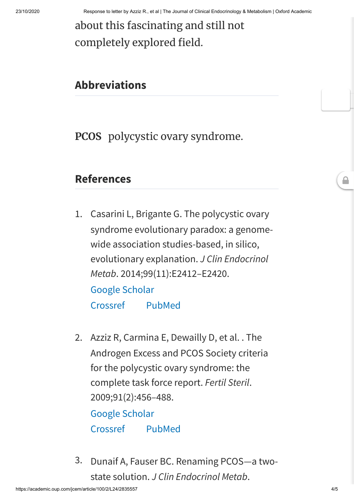## about this fascinating and still not completely explored field.

## **Abbreviations**

**PCOS** polycystic ovary syndrome.

## **References**

- 1. Casarini L, Brigante G. The polycystic ovary syndrome evolutionary paradox: a genomewide association studies-based, in silico, evolutionary explanation. *J Clin Endocrinol Metab*. 2014;99(11):E2412–E2420. [Google Scholar](https://scholar.google.com/scholar_lookup?title=The%20polycystic%20ovary%20syndrome%20evolutionary%20paradox%3A%20a%20genome-wide%20association%20studies-based%2C%20in%20silico%2C%20evolutionary%20explanation&author=L%20Casarini&author=G%20Brigante&publication_year=2014&journal=J%20Clin%20Endocrinol%20Metab&volume=99&pages=E2412-E2420) [Crossref](http://dx.doi.org/10.1210/jc.2014-2703) [PubMed](http://www.ncbi.nlm.nih.gov/pubmed/25093623)
- 2. Azziz R, Carmina E, Dewailly D, et al. . The Androgen Excess and PCOS Society criteria for the polycystic ovary syndrome: the complete task force report. *Fertil Steril*. 2009;91(2):456–488.

[Google Scholar](https://scholar.google.com/scholar_lookup?title=The%20Androgen%20Excess%20and%20PCOS%20Society%20criteria%20for%20the%20polycystic%20ovary%20syndrome%3A%20the%20complete%20task%20force%20report&author=R%20Azziz&author=E%20Carmina&author=D%20Dewailly&publication_year=2009&journal=Fertil%20Steril&volume=91&pages=456-488) [Crossref](http://dx.doi.org/10.1016/j.fertnstert.2008.06.035) [PubMed](http://www.ncbi.nlm.nih.gov/pubmed/18950759)

3. Dunaif A, Fauser BC. Renaming PCOS—a twostate solution. *J Clin Endocrinol Metab*.

 $\triangle$